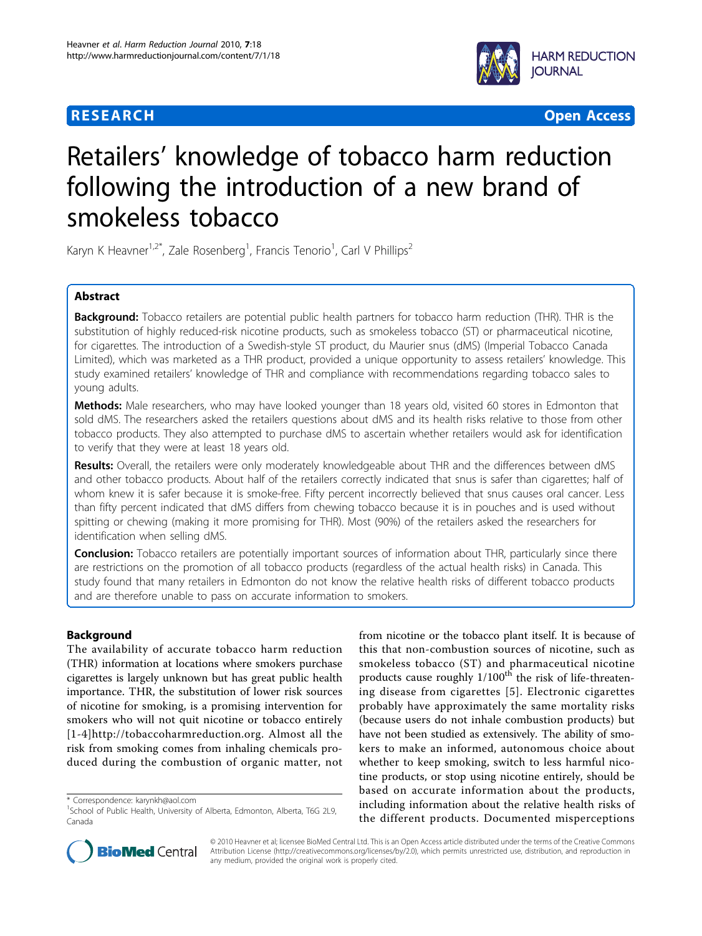



# Retailers' knowledge of tobacco harm reduction following the introduction of a new brand of smokeless tobacco

Karyn K Heavner<sup>1,2\*</sup>, Zale Rosenberg<sup>1</sup>, Francis Tenorio<sup>1</sup>, Carl V Phillips<sup>2</sup>

# Abstract

Background: Tobacco retailers are potential public health partners for tobacco harm reduction (THR). THR is the substitution of highly reduced-risk nicotine products, such as smokeless tobacco (ST) or pharmaceutical nicotine, for cigarettes. The introduction of a Swedish-style ST product, du Maurier snus (dMS) (Imperial Tobacco Canada Limited), which was marketed as a THR product, provided a unique opportunity to assess retailers' knowledge. This study examined retailers' knowledge of THR and compliance with recommendations regarding tobacco sales to young adults.

Methods: Male researchers, who may have looked younger than 18 years old, visited 60 stores in Edmonton that sold dMS. The researchers asked the retailers questions about dMS and its health risks relative to those from other tobacco products. They also attempted to purchase dMS to ascertain whether retailers would ask for identification to verify that they were at least 18 years old.

Results: Overall, the retailers were only moderately knowledgeable about THR and the differences between dMS and other tobacco products. About half of the retailers correctly indicated that snus is safer than cigarettes; half of whom knew it is safer because it is smoke-free. Fifty percent incorrectly believed that snus causes oral cancer. Less than fifty percent indicated that dMS differs from chewing tobacco because it is in pouches and is used without spitting or chewing (making it more promising for THR). Most (90%) of the retailers asked the researchers for identification when selling dMS.

Conclusion: Tobacco retailers are potentially important sources of information about THR, particularly since there are restrictions on the promotion of all tobacco products (regardless of the actual health risks) in Canada. This study found that many retailers in Edmonton do not know the relative health risks of different tobacco products and are therefore unable to pass on accurate information to smokers.

## Background

The availability of accurate tobacco harm reduction (THR) information at locations where smokers purchase cigarettes is largely unknown but has great public health importance. THR, the substitution of lower risk sources of nicotine for smoking, is a promising intervention for smokers who will not quit nicotine or tobacco entirely [[1](#page-5-0)-[4](#page-5-0)][http://tobaccoharmreduction.org.](http://tobaccoharmreduction.org) Almost all the risk from smoking comes from inhaling chemicals produced during the combustion of organic matter, not

\* Correspondence: [karynkh@aol.com](mailto:karynkh@aol.com)

from nicotine or the tobacco plant itself. It is because of this that non-combustion sources of nicotine, such as smokeless tobacco (ST) and pharmaceutical nicotine products cause roughly  $1/100^{th}$  the risk of life-threatening disease from cigarettes [[5\]](#page-5-0). Electronic cigarettes probably have approximately the same mortality risks (because users do not inhale combustion products) but have not been studied as extensively. The ability of smokers to make an informed, autonomous choice about whether to keep smoking, switch to less harmful nicotine products, or stop using nicotine entirely, should be based on accurate information about the products, including information about the relative health risks of the different products. Documented misperceptions



© 2010 Heavner et al; licensee BioMed Central Ltd. This is an Open Access article distributed under the terms of the Creative Commons Attribution License [\(http://creativecommons.org/licenses/by/2.0](http://creativecommons.org/licenses/by/2.0)), which permits unrestricted use, distribution, and reproduction in any medium, provided the original work is properly cited.

<sup>&</sup>lt;sup>1</sup>School of Public Health, University of Alberta, Edmonton, Alberta, T6G 2L9 Canada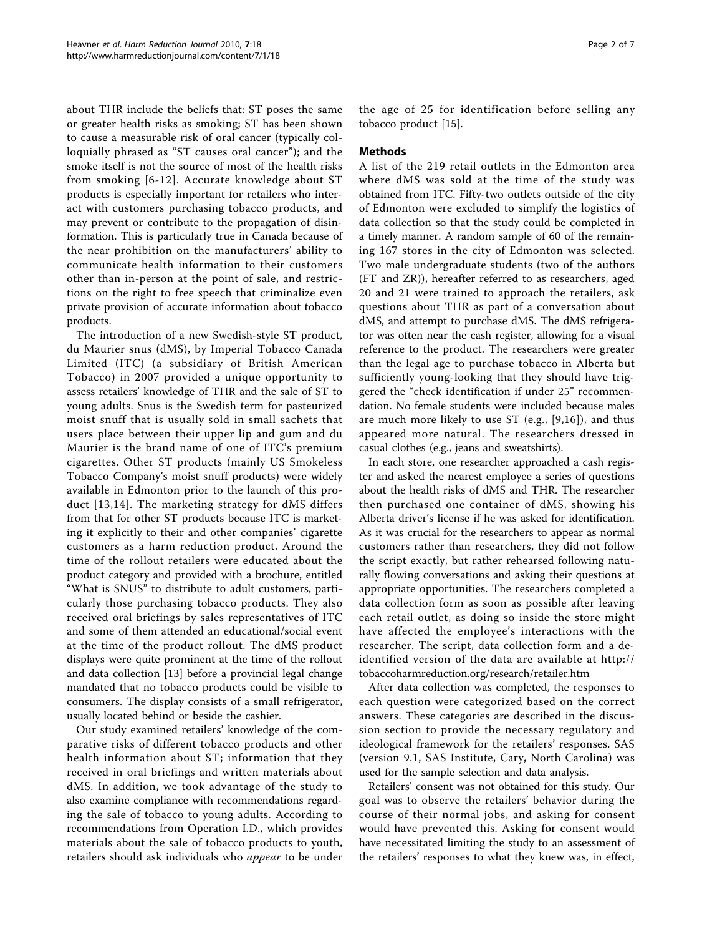about THR include the beliefs that: ST poses the same or greater health risks as smoking; ST has been shown to cause a measurable risk of oral cancer (typically colloquially phrased as "ST causes oral cancer"); and the smoke itself is not the source of most of the health risks from smoking [[6-12](#page-5-0)]. Accurate knowledge about ST products is especially important for retailers who interact with customers purchasing tobacco products, and may prevent or contribute to the propagation of disinformation. This is particularly true in Canada because of the near prohibition on the manufacturers' ability to communicate health information to their customers other than in-person at the point of sale, and restrictions on the right to free speech that criminalize even private provision of accurate information about tobacco products.

The introduction of a new Swedish-style ST product, du Maurier snus (dMS), by Imperial Tobacco Canada Limited (ITC) (a subsidiary of British American Tobacco) in 2007 provided a unique opportunity to assess retailers' knowledge of THR and the sale of ST to young adults. Snus is the Swedish term for pasteurized moist snuff that is usually sold in small sachets that users place between their upper lip and gum and du Maurier is the brand name of one of ITC's premium cigarettes. Other ST products (mainly US Smokeless Tobacco Company's moist snuff products) were widely available in Edmonton prior to the launch of this product [[13,14\]](#page-5-0). The marketing strategy for dMS differs from that for other ST products because ITC is marketing it explicitly to their and other companies' cigarette customers as a harm reduction product. Around the time of the rollout retailers were educated about the product category and provided with a brochure, entitled "What is SNUS" to distribute to adult customers, particularly those purchasing tobacco products. They also received oral briefings by sales representatives of ITC and some of them attended an educational/social event at the time of the product rollout. The dMS product displays were quite prominent at the time of the rollout and data collection [\[13](#page-5-0)] before a provincial legal change mandated that no tobacco products could be visible to consumers. The display consists of a small refrigerator, usually located behind or beside the cashier.

Our study examined retailers' knowledge of the comparative risks of different tobacco products and other health information about ST; information that they received in oral briefings and written materials about dMS. In addition, we took advantage of the study to also examine compliance with recommendations regarding the sale of tobacco to young adults. According to recommendations from Operation I.D., which provides materials about the sale of tobacco products to youth, retailers should ask individuals who *appear* to be under

the age of 25 for identification before selling any tobacco product [[15\]](#page-5-0).

## Methods

A list of the 219 retail outlets in the Edmonton area where dMS was sold at the time of the study was obtained from ITC. Fifty-two outlets outside of the city of Edmonton were excluded to simplify the logistics of data collection so that the study could be completed in a timely manner. A random sample of 60 of the remaining 167 stores in the city of Edmonton was selected. Two male undergraduate students (two of the authors (FT and ZR)), hereafter referred to as researchers, aged 20 and 21 were trained to approach the retailers, ask questions about THR as part of a conversation about dMS, and attempt to purchase dMS. The dMS refrigerator was often near the cash register, allowing for a visual reference to the product. The researchers were greater than the legal age to purchase tobacco in Alberta but sufficiently young-looking that they should have triggered the "check identification if under 25" recommendation. No female students were included because males are much more likely to use ST (e.g., [\[9,16\]](#page-5-0)), and thus appeared more natural. The researchers dressed in casual clothes (e.g., jeans and sweatshirts).

In each store, one researcher approached a cash register and asked the nearest employee a series of questions about the health risks of dMS and THR. The researcher then purchased one container of dMS, showing his Alberta driver's license if he was asked for identification. As it was crucial for the researchers to appear as normal customers rather than researchers, they did not follow the script exactly, but rather rehearsed following naturally flowing conversations and asking their questions at appropriate opportunities. The researchers completed a data collection form as soon as possible after leaving each retail outlet, as doing so inside the store might have affected the employee's interactions with the researcher. The script, data collection form and a deidentified version of the data are available at [http://](http://tobaccoharmreduction.org/research/retailer.htm) [tobaccoharmreduction.org/research/retailer.htm](http://tobaccoharmreduction.org/research/retailer.htm)

After data collection was completed, the responses to each question were categorized based on the correct answers. These categories are described in the discussion section to provide the necessary regulatory and ideological framework for the retailers' responses. SAS (version 9.1, SAS Institute, Cary, North Carolina) was used for the sample selection and data analysis.

Retailers' consent was not obtained for this study. Our goal was to observe the retailers' behavior during the course of their normal jobs, and asking for consent would have prevented this. Asking for consent would have necessitated limiting the study to an assessment of the retailers' responses to what they knew was, in effect,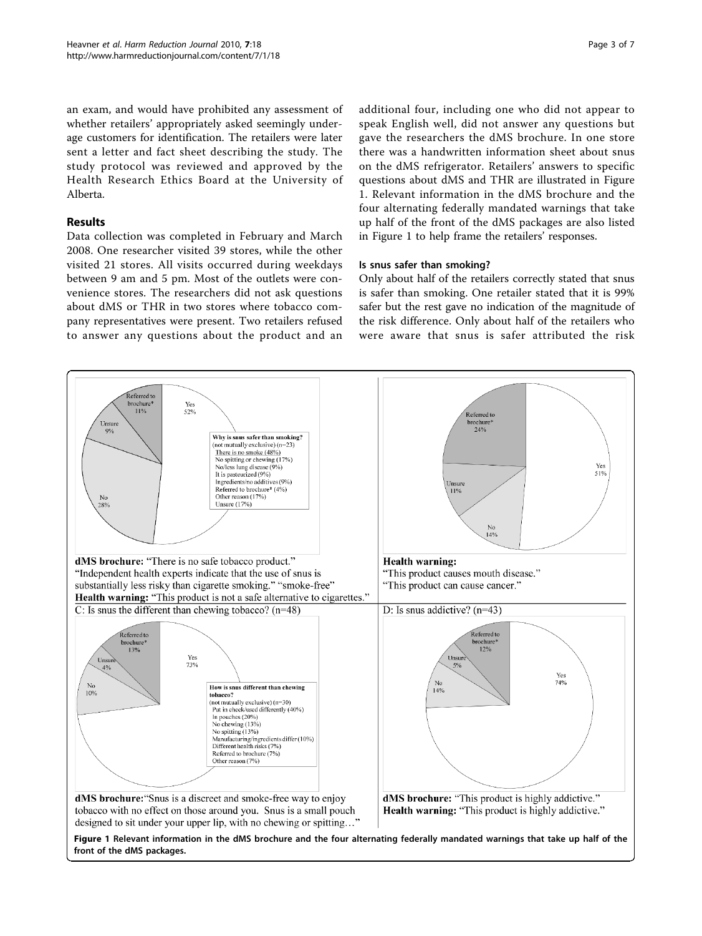an exam, and would have prohibited any assessment of whether retailers' appropriately asked seemingly underage customers for identification. The retailers were later sent a letter and fact sheet describing the study. The study protocol was reviewed and approved by the Health Research Ethics Board at the University of Alberta.

## Results

Data collection was completed in February and March 2008. One researcher visited 39 stores, while the other visited 21 stores. All visits occurred during weekdays between 9 am and 5 pm. Most of the outlets were convenience stores. The researchers did not ask questions about dMS or THR in two stores where tobacco company representatives were present. Two retailers refused to answer any questions about the product and an additional four, including one who did not appear to speak English well, did not answer any questions but gave the researchers the dMS brochure. In one store there was a handwritten information sheet about snus on the dMS refrigerator. Retailers' answers to specific questions about dMS and THR are illustrated in Figure 1. Relevant information in the dMS brochure and the four alternating federally mandated warnings that take up half of the front of the dMS packages are also listed in Figure 1 to help frame the retailers' responses.

## Is snus safer than smoking?

Only about half of the retailers correctly stated that snus is safer than smoking. One retailer stated that it is 99% safer but the rest gave no indication of the magnitude of the risk difference. Only about half of the retailers who were aware that snus is safer attributed the risk

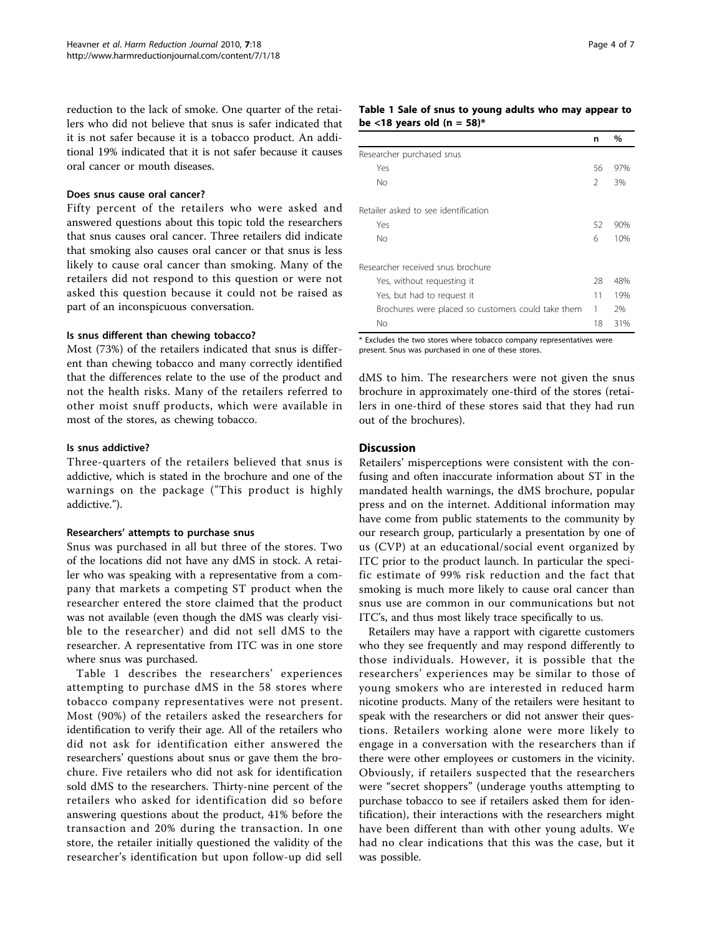reduction to the lack of smoke. One quarter of the retailers who did not believe that snus is safer indicated that it is not safer because it is a tobacco product. An additional 19% indicated that it is not safer because it causes oral cancer or mouth diseases.

#### Does snus cause oral cancer?

Fifty percent of the retailers who were asked and answered questions about this topic told the researchers that snus causes oral cancer. Three retailers did indicate that smoking also causes oral cancer or that snus is less likely to cause oral cancer than smoking. Many of the retailers did not respond to this question or were not asked this question because it could not be raised as part of an inconspicuous conversation.

#### Is snus different than chewing tobacco?

Most (73%) of the retailers indicated that snus is different than chewing tobacco and many correctly identified that the differences relate to the use of the product and not the health risks. Many of the retailers referred to other moist snuff products, which were available in most of the stores, as chewing tobacco.

#### Is snus addictive?

Three-quarters of the retailers believed that snus is addictive, which is stated in the brochure and one of the warnings on the package ("This product is highly addictive.").

#### Researchers' attempts to purchase snus

Snus was purchased in all but three of the stores. Two of the locations did not have any dMS in stock. A retailer who was speaking with a representative from a company that markets a competing ST product when the researcher entered the store claimed that the product was not available (even though the dMS was clearly visible to the researcher) and did not sell dMS to the researcher. A representative from ITC was in one store where snus was purchased.

Table 1 describes the researchers' experiences attempting to purchase dMS in the 58 stores where tobacco company representatives were not present. Most (90%) of the retailers asked the researchers for identification to verify their age. All of the retailers who did not ask for identification either answered the researchers' questions about snus or gave them the brochure. Five retailers who did not ask for identification sold dMS to the researchers. Thirty-nine percent of the retailers who asked for identification did so before answering questions about the product, 41% before the transaction and 20% during the transaction. In one store, the retailer initially questioned the validity of the researcher's identification but upon follow-up did sell

#### Table 1 Sale of snus to young adults who may appear to be  $<$ 18 years old (n = 58)\*

|                                                    | n             | %   |
|----------------------------------------------------|---------------|-----|
| Researcher purchased snus                          |               |     |
| Yes                                                | 56            | 97% |
| Nο                                                 | $\mathcal{P}$ | 3%  |
| Retailer asked to see identification               |               |     |
| Yes                                                | 52            | 90% |
| No                                                 | 6             | 10% |
| Researcher received snus brochure                  |               |     |
| Yes, without requesting it                         | 28            | 48% |
| Yes, but had to request it                         | 11            | 19% |
| Brochures were placed so customers could take them | 1             | 7%  |
| No                                                 | 18            | 31% |

\* Excludes the two stores where tobacco company representatives were present. Snus was purchased in one of these stores.

dMS to him. The researchers were not given the snus brochure in approximately one-third of the stores (retailers in one-third of these stores said that they had run out of the brochures).

## **Discussion**

Retailers' misperceptions were consistent with the confusing and often inaccurate information about ST in the mandated health warnings, the dMS brochure, popular press and on the internet. Additional information may have come from public statements to the community by our research group, particularly a presentation by one of us (CVP) at an educational/social event organized by ITC prior to the product launch. In particular the specific estimate of 99% risk reduction and the fact that smoking is much more likely to cause oral cancer than snus use are common in our communications but not ITC's, and thus most likely trace specifically to us.

Retailers may have a rapport with cigarette customers who they see frequently and may respond differently to those individuals. However, it is possible that the researchers' experiences may be similar to those of young smokers who are interested in reduced harm nicotine products. Many of the retailers were hesitant to speak with the researchers or did not answer their questions. Retailers working alone were more likely to engage in a conversation with the researchers than if there were other employees or customers in the vicinity. Obviously, if retailers suspected that the researchers were "secret shoppers" (underage youths attempting to purchase tobacco to see if retailers asked them for identification), their interactions with the researchers might have been different than with other young adults. We had no clear indications that this was the case, but it was possible.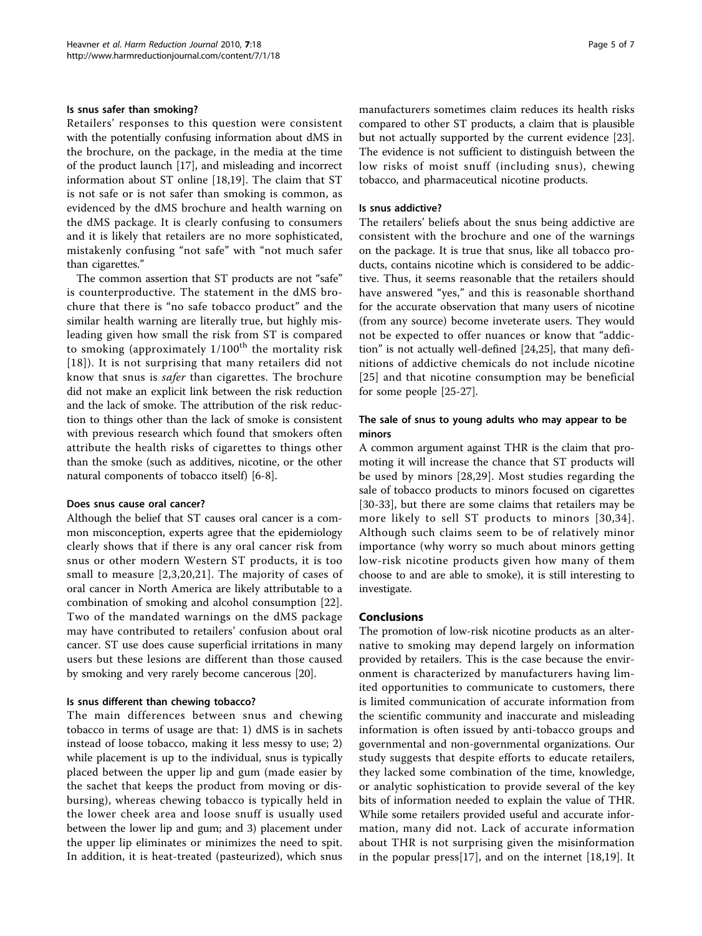#### Is snus safer than smoking?

Retailers' responses to this question were consistent with the potentially confusing information about dMS in the brochure, on the package, in the media at the time of the product launch [[17](#page-5-0)], and misleading and incorrect information about ST online [\[18,19](#page-5-0)]. The claim that ST is not safe or is not safer than smoking is common, as evidenced by the dMS brochure and health warning on the dMS package. It is clearly confusing to consumers and it is likely that retailers are no more sophisticated, mistakenly confusing "not safe" with "not much safer than cigarettes."

The common assertion that ST products are not "safe" is counterproductive. The statement in the dMS brochure that there is "no safe tobacco product" and the similar health warning are literally true, but highly misleading given how small the risk from ST is compared to smoking (approximately  $1/100^{th}$  the mortality risk [[18\]](#page-5-0)). It is not surprising that many retailers did not know that snus is safer than cigarettes. The brochure did not make an explicit link between the risk reduction and the lack of smoke. The attribution of the risk reduction to things other than the lack of smoke is consistent with previous research which found that smokers often attribute the health risks of cigarettes to things other than the smoke (such as additives, nicotine, or the other natural components of tobacco itself) [[6-8\]](#page-5-0).

#### Does snus cause oral cancer?

Although the belief that ST causes oral cancer is a common misconception, experts agree that the epidemiology clearly shows that if there is any oral cancer risk from snus or other modern Western ST products, it is too small to measure [[2,3](#page-5-0),[20](#page-5-0),[21\]](#page-5-0). The majority of cases of oral cancer in North America are likely attributable to a combination of smoking and alcohol consumption [\[22](#page-5-0)]. Two of the mandated warnings on the dMS package may have contributed to retailers' confusion about oral cancer. ST use does cause superficial irritations in many users but these lesions are different than those caused by smoking and very rarely become cancerous [\[20](#page-5-0)].

## Is snus different than chewing tobacco?

The main differences between snus and chewing tobacco in terms of usage are that: 1) dMS is in sachets instead of loose tobacco, making it less messy to use; 2) while placement is up to the individual, snus is typically placed between the upper lip and gum (made easier by the sachet that keeps the product from moving or disbursing), whereas chewing tobacco is typically held in the lower cheek area and loose snuff is usually used between the lower lip and gum; and 3) placement under the upper lip eliminates or minimizes the need to spit. In addition, it is heat-treated (pasteurized), which snus manufacturers sometimes claim reduces its health risks compared to other ST products, a claim that is plausible but not actually supported by the current evidence [\[23](#page-6-0)]. The evidence is not sufficient to distinguish between the low risks of moist snuff (including snus), chewing tobacco, and pharmaceutical nicotine products.

#### Is snus addictive?

The retailers' beliefs about the snus being addictive are consistent with the brochure and one of the warnings on the package. It is true that snus, like all tobacco products, contains nicotine which is considered to be addictive. Thus, it seems reasonable that the retailers should have answered "yes," and this is reasonable shorthand for the accurate observation that many users of nicotine (from any source) become inveterate users. They would not be expected to offer nuances or know that "addiction" is not actually well-defined [[24,25\]](#page-6-0), that many definitions of addictive chemicals do not include nicotine [[25](#page-6-0)] and that nicotine consumption may be beneficial for some people [\[25](#page-6-0)-[27](#page-6-0)].

## The sale of snus to young adults who may appear to be minors

A common argument against THR is the claim that promoting it will increase the chance that ST products will be used by minors [[28](#page-6-0),[29\]](#page-6-0). Most studies regarding the sale of tobacco products to minors focused on cigarettes [[30-33](#page-6-0)], but there are some claims that retailers may be more likely to sell ST products to minors [[30](#page-6-0),[34\]](#page-6-0). Although such claims seem to be of relatively minor importance (why worry so much about minors getting low-risk nicotine products given how many of them choose to and are able to smoke), it is still interesting to investigate.

## Conclusions

The promotion of low-risk nicotine products as an alternative to smoking may depend largely on information provided by retailers. This is the case because the environment is characterized by manufacturers having limited opportunities to communicate to customers, there is limited communication of accurate information from the scientific community and inaccurate and misleading information is often issued by anti-tobacco groups and governmental and non-governmental organizations. Our study suggests that despite efforts to educate retailers, they lacked some combination of the time, knowledge, or analytic sophistication to provide several of the key bits of information needed to explain the value of THR. While some retailers provided useful and accurate information, many did not. Lack of accurate information about THR is not surprising given the misinformation in the popular press[[17\]](#page-5-0), and on the internet [[18,19](#page-5-0)]. It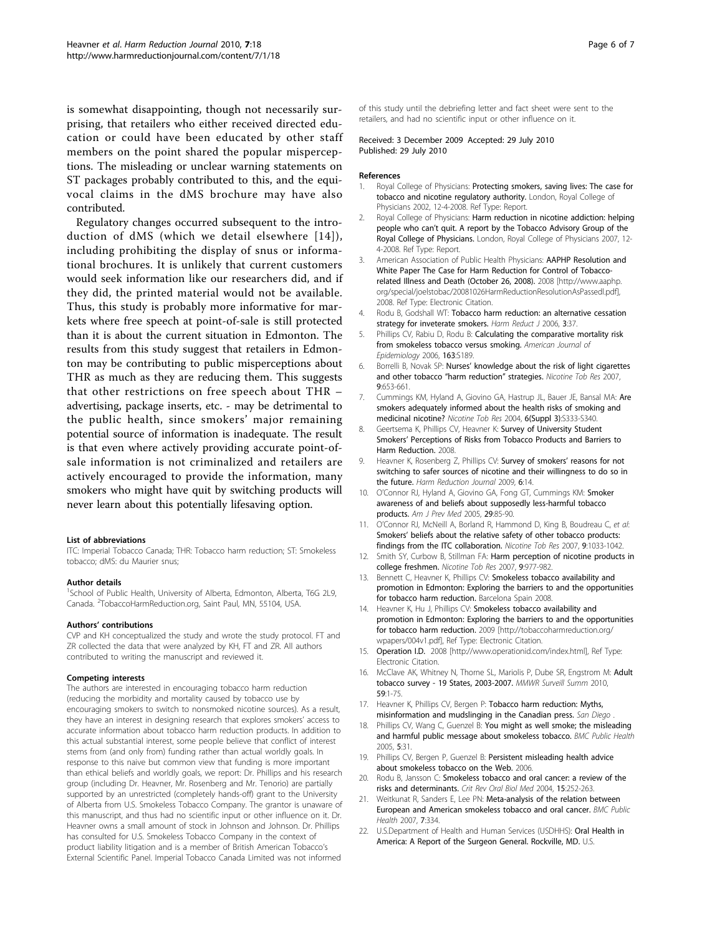<span id="page-5-0"></span>is somewhat disappointing, though not necessarily surprising, that retailers who either received directed education or could have been educated by other staff members on the point shared the popular misperceptions. The misleading or unclear warning statements on ST packages probably contributed to this, and the equivocal claims in the dMS brochure may have also contributed.

Regulatory changes occurred subsequent to the introduction of dMS (which we detail elsewhere [14]), including prohibiting the display of snus or informational brochures. It is unlikely that current customers would seek information like our researchers did, and if they did, the printed material would not be available. Thus, this study is probably more informative for markets where free speech at point-of-sale is still protected than it is about the current situation in Edmonton. The results from this study suggest that retailers in Edmonton may be contributing to public misperceptions about THR as much as they are reducing them. This suggests that other restrictions on free speech about THR – advertising, package inserts, etc. - may be detrimental to the public health, since smokers' major remaining potential source of information is inadequate. The result is that even where actively providing accurate point-ofsale information is not criminalized and retailers are actively encouraged to provide the information, many smokers who might have quit by switching products will never learn about this potentially lifesaving option.

#### List of abbreviations

ITC: Imperial Tobacco Canada; THR: Tobacco harm reduction; ST: Smokeless tobacco; dMS: du Maurier snus;

#### Author details

<sup>1</sup>School of Public Health, University of Alberta, Edmonton, Alberta, T6G 2L9, Canada. <sup>2</sup>TobaccoHarmReduction.org, Saint Paul, MN, 55104, USA.

#### Authors' contributions

CVP and KH conceptualized the study and wrote the study protocol. FT and ZR collected the data that were analyzed by KH, FT and ZR. All authors contributed to writing the manuscript and reviewed it.

#### Competing interests

The authors are interested in encouraging tobacco harm reduction (reducing the morbidity and mortality caused by tobacco use by encouraging smokers to switch to nonsmoked nicotine sources). As a result, they have an interest in designing research that explores smokers' access to accurate information about tobacco harm reduction products. In addition to this actual substantial interest, some people believe that conflict of interest stems from (and only from) funding rather than actual worldly goals. In response to this naive but common view that funding is more important than ethical beliefs and worldly goals, we report: Dr. Phillips and his research group (including Dr. Heavner, Mr. Rosenberg and Mr. Tenorio) are partially supported by an unrestricted (completely hands-off) grant to the University of Alberta from U.S. Smokeless Tobacco Company. The grantor is unaware of this manuscript, and thus had no scientific input or other influence on it. Dr. Heavner owns a small amount of stock in Johnson and Johnson. Dr. Phillips has consulted for U.S. Smokeless Tobacco Company in the context of product liability litigation and is a member of British American Tobacco's External Scientific Panel. Imperial Tobacco Canada Limited was not informed

of this study until the debriefing letter and fact sheet were sent to the retailers, and had no scientific input or other influence on it.

#### Received: 3 December 2009 Accepted: 29 July 2010 Published: 29 July 2010

#### References

- Royal College of Physicians: Protecting smokers, saving lives: The case for tobacco and nicotine regulatory authority. London, Royal College of Physicians 2002, 12-4-2008. Ref Type: Report.
- 2. Royal College of Physicians: Harm reduction in nicotine addiction: helping people who can't quit. A report by the Tobacco Advisory Group of the Royal College of Physicians. London, Royal College of Physicians 2007, 12- 4-2008. Ref Type: Report.
- 3. American Association of Public Health Physicians: AAPHP Resolution and White Paper The Case for Harm Reduction for Control of Tobaccorelated Illness and Death (October 26, 2008). 2008 [\[http://www.aaphp.](http://www.aaphp.org/special/joelstobac/20081026HarmReductionResolutionAsPassedl.pdf) [org/special/joelstobac/20081026HarmReductionResolutionAsPassedl.pdf\]](http://www.aaphp.org/special/joelstobac/20081026HarmReductionResolutionAsPassedl.pdf), 2008. Ref Type: Electronic Citation.
- 4. Rodu B, Godshall WT: [Tobacco harm reduction: an alternative cessation](http://www.ncbi.nlm.nih.gov/pubmed/17184539?dopt=Abstract) [strategy for inveterate smokers.](http://www.ncbi.nlm.nih.gov/pubmed/17184539?dopt=Abstract) Harm Reduct J 2006, 3:37.
- 5. Phillips CV, Rabiu D, Rodu B: Calculating the comparative mortality risk from smokeless tobacco versus smoking. American Journal of Epidemiology 2006, 163:S189.
- 6. Borrelli B, Novak SP: Nurses' [knowledge about the risk of light cigarettes](http://www.ncbi.nlm.nih.gov/pubmed/17558822?dopt=Abstract) [and other tobacco](http://www.ncbi.nlm.nih.gov/pubmed/17558822?dopt=Abstract) "harm reduction" strategies. Nicotine Tob Res 2007, 9:653-661.
- 7. Cummings KM, Hyland A, Giovino GA, Hastrup JL, Bauer JE, Bansal MA: [Are](http://www.ncbi.nlm.nih.gov/pubmed/15799596?dopt=Abstract) [smokers adequately informed about the health risks of smoking and](http://www.ncbi.nlm.nih.gov/pubmed/15799596?dopt=Abstract) [medicinal nicotine?](http://www.ncbi.nlm.nih.gov/pubmed/15799596?dopt=Abstract) Nicotine Tob Res 2004, 6(Suppl 3):S333-S340.
- 8. Geertsema K, Phillips CV, Heavner K: Survey of University Student Smokers' Perceptions of Risks from Tobacco Products and Barriers to Harm Reduction. 2008.
- 9. Heavner K, Rosenberg Z, Phillips CV: [Survey of smokers](http://www.ncbi.nlm.nih.gov/pubmed/19573235?dopt=Abstract)' reasons for not [switching to safer sources of nicotine and their willingness to do so in](http://www.ncbi.nlm.nih.gov/pubmed/19573235?dopt=Abstract) [the future.](http://www.ncbi.nlm.nih.gov/pubmed/19573235?dopt=Abstract) Harm Reduction Journal 2009, 6:14.
- 10. O'Connor RJ, Hyland A, Giovino GA, Fong GT, Cummings KM: [Smoker](http://www.ncbi.nlm.nih.gov/pubmed/16005803?dopt=Abstract) [awareness of and beliefs about supposedly less-harmful tobacco](http://www.ncbi.nlm.nih.gov/pubmed/16005803?dopt=Abstract) [products.](http://www.ncbi.nlm.nih.gov/pubmed/16005803?dopt=Abstract) Am J Prev Med 2005, 29:85-90.
- 11. O'Connor RJ, McNeill A, Borland R, Hammond D, King B, Boudreau C, et al: Smokers' [beliefs about the relative safety of other tobacco products:](http://www.ncbi.nlm.nih.gov/pubmed/17943619?dopt=Abstract) [findings from the ITC collaboration.](http://www.ncbi.nlm.nih.gov/pubmed/17943619?dopt=Abstract) Nicotine Tob Res 2007, 9:1033-1042.
- 12. Smith SY, Curbow B, Stillman FA: [Harm perception of nicotine products in](http://www.ncbi.nlm.nih.gov/pubmed/17763115?dopt=Abstract) [college freshmen.](http://www.ncbi.nlm.nih.gov/pubmed/17763115?dopt=Abstract) Nicotine Tob Res 2007, 9:977-982.
- 13. Bennett C, Heavner K, Phillips CV: Smokeless tobacco availability and promotion in Edmonton: Exploring the barriers to and the opportunities for tobacco harm reduction. Barcelona Spain 2008.
- 14. Heavner K, Hu J, Phillips CV: Smokeless tobacco availability and promotion in Edmonton: Exploring the barriers to and the opportunities for tobacco harm reduction. 2009 [\[http://tobaccoharmreduction.org/](http://tobaccoharmreduction.org/wpapers/004v1.pdf) [wpapers/004v1.pdf\]](http://tobaccoharmreduction.org/wpapers/004v1.pdf), Ref Type: Electronic Citation.
- 15. Operation I.D. 2008 [\[http://www.operationid.com/index.html\]](http://www.operationid.com/index.html), Ref Type: Electronic Citation.
- 16. McClave AK, Whitney N, Thorne SL, Mariolis P, Dube SR, Engstrom M: [Adult](http://www.ncbi.nlm.nih.gov/pubmed/20395937?dopt=Abstract) [tobacco survey - 19 States, 2003-2007.](http://www.ncbi.nlm.nih.gov/pubmed/20395937?dopt=Abstract) MMWR Surveill Summ 2010, 59:1-75.
- 17. Heavner K, Phillips CV, Bergen P: Tobacco harm reduction: Myths, misinformation and mudslinging in the Canadian press. San Diego .
- 18. Phillips CV, Wang C, Guenzel B: [You might as well smoke; the misleading](http://www.ncbi.nlm.nih.gov/pubmed/15811179?dopt=Abstract) [and harmful public message about smokeless tobacco.](http://www.ncbi.nlm.nih.gov/pubmed/15811179?dopt=Abstract) BMC Public Health 2005, 5:31.
- 19. Phillips CV, Bergen P, Guenzel B: Persistent misleading health advice about smokeless tobacco on the Web. 2006.
- 20. Rodu B, Jansson C: [Smokeless tobacco and oral cancer: a review of the](http://www.ncbi.nlm.nih.gov/pubmed/15470264?dopt=Abstract) [risks and determinants.](http://www.ncbi.nlm.nih.gov/pubmed/15470264?dopt=Abstract) Crit Rev Oral Biol Med 2004, 15:252-263.
- 21. Weitkunat R, Sanders E, Lee PN: [Meta-analysis of the relation between](http://www.ncbi.nlm.nih.gov/pubmed/18005437?dopt=Abstract) [European and American smokeless tobacco and oral cancer.](http://www.ncbi.nlm.nih.gov/pubmed/18005437?dopt=Abstract) BMC Public Health 2007, 7:334.
- 22. U.S.Department of Health and Human Services (USDHHS): Oral Health in America: A Report of the Surgeon General. Rockville, MD. U.S.